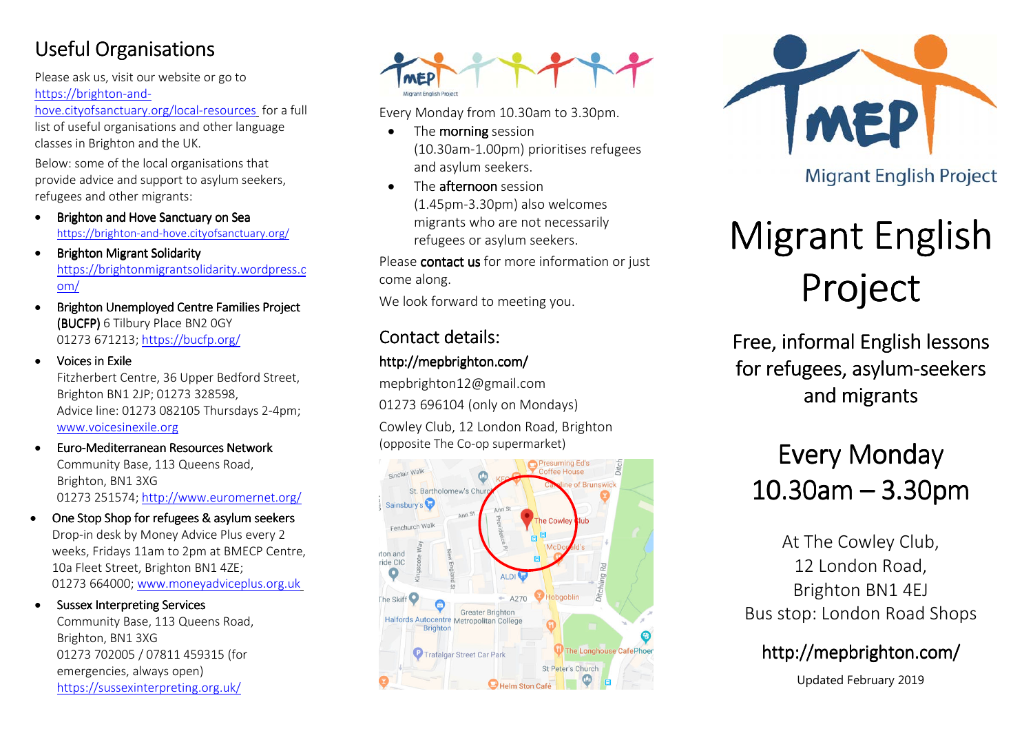## **Useful Organisations**

Please ask us, visit our website or go to https://brighton-and-

hove.cityofsanctuary.org/local-resources for a full list of useful organisations and other language classes in Brighton and the UK.

Below: some of the local organisations that provide advice and support to asylum seekers, refugees and other migrants:

- •Brighton and Hove Sanctuary on Sea https://brighton-and-hove.cityofsanctuary.org/
- •**Brighton Migrant Solidarity** https://brightonmigrantsolidarity.wordpress.com/
- • Brighton Unemployed Centre Families Project (BUCFP) 6 Tilbury Place BN2 0GY 01273 671213; https://bucfp.org/
- Voices in Exile Fitzherbert Centre, 36 Upper Bedford Street, Brighton BN1 2JP; 01273 328598, Advice line: 01273 082105 Thursdays 2-4pm; www.voicesinexile.org

•

•

- • $\bullet$  Euro-Mediterranean Resources Network Community Base, 113 Queens Road, Brighton, BN1 3XG 01273 251574; http://www.euromernet.org/
- •One Stop Shop for refugees & asylum seekers Drop-in desk by Money Advice Plus every 2 weeks, Fridays 11am to 2pm at BMECP Centre, 10a Fleet Street, Brighton BN1 4ZE; 01273 664000; www.moneyadviceplus.org.uk

Sussex Interpreting Services Community Base, 113 Queens Road, Brighton, BN1 3XG 01273 702005 / 07811 459315 (for emergencies, always open) https://sussexinterpreting.org.uk/



Every Monday from 10.30am to 3.30pm.

- •• The **morning** session (10.30am-1.00pm) prioritises refugees and asylum seekers.
- • $\bullet$  The **afternoon** session (1.45pm-3.30pm) also welcomes migrants who are not necessarily refugees or asylum seekers.

Please **contact us** for more information or just come along.

We look forward to meeting you.

### Contact details:

#### http://mepbrighton.com/

mepbrighton12@gmail.com 01273 696104 (only on Mondays)

Cowley Club, 12 London Road, Brighton (opposite The Co-op supermarket)





# Migrant English Project

Free, informal English lessons for refugees, asylum-seekers<br>seekers and migrants

## Every Monday  $10.30$ am  $-3.30$ pm

At The Cowley Club, 12 London Road, Brighton BN1 4EJ Bus stop: London Road Shops

## http://mepbrighton.com/

Updated February 2019